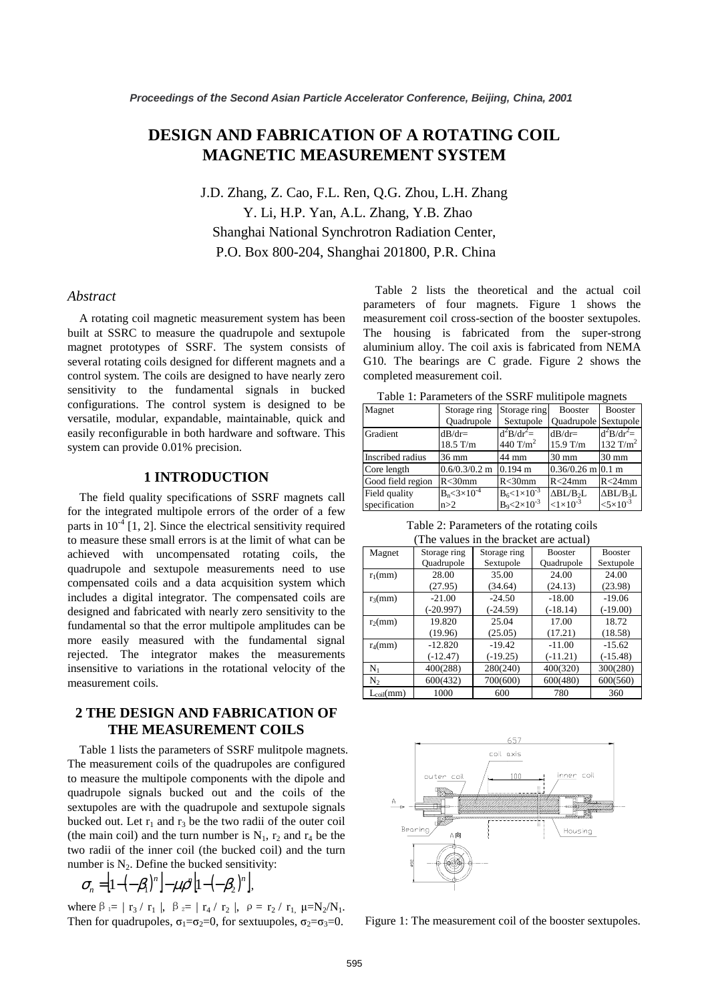# **DESIGN AND FABRICATION OF A ROTATING COIL MAGNETIC MEASUREMENT SYSTEM**

J.D. Zhang, Z. Cao, F.L. Ren, Q.G. Zhou, L.H. Zhang Y. Li, H.P. Yan, A.L. Zhang, Y.B. Zhao Shanghai National Synchrotron Radiation Center, P.O. Box 800-204, Shanghai 201800, P.R. China

# *Abstract*

A rotating coil magnetic measurement system has been built at SSRC to measure the quadrupole and sextupole magnet prototypes of SSRF. The system consists of several rotating coils designed for different magnets and a control system. The coils are designed to have nearly zero sensitivity to the fundamental signals in bucked configurations. The control system is designed to be versatile, modular, expandable, maintainable, quick and easily reconfigurable in both hardware and software. This system can provide 0.01% precision.

### **1 INTRODUCTION**

The field quality specifications of SSRF magnets call for the integrated multipole errors of the order of a few parts in  $10^{-4}$  [1, 2]. Since the electrical sensitivity required to measure these small errors is at the limit of what can be achieved with uncompensated rotating coils, the quadrupole and sextupole measurements need to use compensated coils and a data acquisition system which includes a digital integrator. The compensated coils are designed and fabricated with nearly zero sensitivity to the fundamental so that the error multipole amplitudes can be more easily measured with the fundamental signal rejected. The integrator makes the measurements insensitive to variations in the rotational velocity of the measurement coils.

# **2 THE DESIGN AND FABRICATION OF THE MEASUREMENT COILS**

Table 1 lists the parameters of SSRF mulitpole magnets. The measurement coils of the quadrupoles are configured to measure the multipole components with the dipole and quadrupole signals bucked out and the coils of the sextupoles are with the quadrupole and sextupole signals bucked out. Let  $r_1$  and  $r_3$  be the two radii of the outer coil (the main coil) and the turn number is  $N_1$ ,  $r_2$  and  $r_4$  be the two radii of the inner coil (the bucked coil) and the turn number is  $N_2$ . Define the bucked sensitivity:

$$
\sigma_n = [1 - (-\beta_1)^n] - \mu \rho^n [1 - (-\beta_2)^n],
$$

where  $\beta = | r_3 / r_1 |$ ,  $\beta = | r_4 / r_2 |$ ,  $\rho = r_2 / r_1$ ,  $\mu = N_2 / N_1$ . Then for quadrupoles,  $\sigma_1 = \sigma_2 = 0$ , for sextuupoles,  $\sigma_2 = \sigma_3 = 0$ .

 Table 2 lists the theoretical and the actual coil parameters of four magnets. Figure 1 shows the measurement coil cross-section of the booster sextupoles. The housing is fabricated from the super-strong aluminium alloy. The coil axis is fabricated from NEMA G10. The bearings are C grade. Figure 2 shows the completed measurement coil.

Table 1: Parameters of the SSRF mulitipole magnets

| Magnet            | Storage ring             | Storage ring             | <b>Booster</b>              | <b>Booster</b>       |
|-------------------|--------------------------|--------------------------|-----------------------------|----------------------|
|                   | Quadrupole               | Sextupole                | <b>Ouadrupole</b> Sextupole |                      |
| Gradient          | $dB/dr =$                | $d^2B/dr^2 =$            | $dB/dr =$                   | $d^2B/dr^2 =$        |
|                   | $18.5$ T/m               | 440 T/ $m2$              | $15.9$ T/m                  | 132 T/m <sup>2</sup> |
| Inscribed radius  | 36 mm                    | 44 mm                    | $30 \text{ mm}$             | 30 mm                |
| Core length       | $0.6/0.3/0.2$ m          | $0.194 \text{ m}$        | $0.36/0.26$ m 0.1 m         |                      |
| Good field region | $R < 30$ mm              | $R < 30$ mm              | $R < 24$ mm                 | $R < 24$ mm          |
| Field quality     | $B_n < 3 \times 10^{-4}$ | $B_6 < 1 \times 10^{-3}$ | $\Delta BL/B_2L$            | $\triangle$ BL/B3L   |
| specification     | n>2                      | $B_9 < 2 \times 10^{-3}$ | $<1\times10^{-3}$           | $< 5 \times 10^{-3}$ |

Table 2: Parameters of the rotating coils The values in the bracket are act

| The values in the blacket are actual) |              |              |                |                |  |  |
|---------------------------------------|--------------|--------------|----------------|----------------|--|--|
| Magnet                                | Storage ring | Storage ring | <b>Booster</b> | <b>Booster</b> |  |  |
|                                       | Quadrupole   | Sextupole    | Quadrupole     | Sextupole      |  |  |
| $r_1$ (mm)                            | 28.00        | 35.00        | 24.00          | 24.00          |  |  |
|                                       | (27.95)      | (34.64)      | (24.13)        | (23.98)        |  |  |
| $r_3$ (mm)                            | $-21.00$     | $-24.50$     | $-18.00$       | $-19.06$       |  |  |
|                                       | $(-20.997)$  | $(-24.59)$   | $(-18.14)$     | $(-19.00)$     |  |  |
| $r_2$ (mm)                            | 19.820       | 25.04        | 17.00          | 18.72          |  |  |
|                                       | (19.96)      | (25.05)      | (17.21)        | (18.58)        |  |  |
| $r_4$ (mm)                            | $-12.820$    | $-19.42$     | $-11.00$       | $-15.62$       |  |  |
|                                       | $(-12.47)$   | $(-19.25)$   | $(-11.21)$     | $(-15.48)$     |  |  |
| $N_1$                                 | 400(288)     | 280(240)     | 400(320)       | 300(280)       |  |  |
| N2                                    | 600(432)     | 700(600)     | 600(480)       | 600(560)       |  |  |
| $L_{\text{coil}}(\text{mm})$          | 1000         | 600          | 780            | 360            |  |  |



Figure 1: The measurement coil of the booster sextupoles.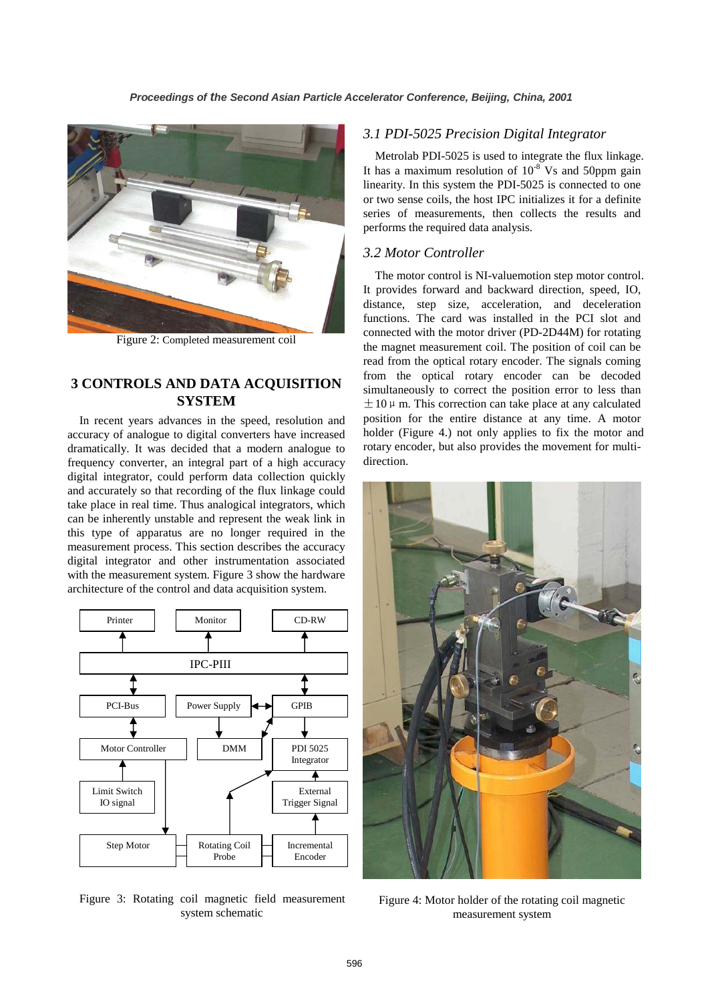

Figure 2: Completed measurement coil

# **3 CONTROLS AND DATA ACQUISITION SYSTEM**

In recent years advances in the speed, resolution and accuracy of analogue to digital converters have increased dramatically. It was decided that a modern analogue to frequency converter, an integral part of a high accuracy digital integrator, could perform data collection quickly and accurately so that recording of the flux linkage could take place in real time. Thus analogical integrators, which can be inherently unstable and represent the weak link in this type of apparatus are no longer required in the measurement process. This section describes the accuracy digital integrator and other instrumentation associated with the measurement system. Figure 3 show the hardware architecture of the control and data acquisition system.



Figure 3: Rotating coil magnetic field measurement system schematic

### *3.1 PDI-5025 Precision Digital Integrator*

Metrolab PDI-5025 is used to integrate the flux linkage. It has a maximum resolution of  $10^{-8}$  Vs and 50ppm gain linearity. In this system the PDI-5025 is connected to one or two sense coils, the host IPC initializes it for a definite series of measurements, then collects the results and performs the required data analysis.

## *3.2 Motor Controller*

The motor control is NI-valuemotion step motor control. It provides forward and backward direction, speed, IO, distance, step size, acceleration, and deceleration functions. The card was installed in the PCI slot and connected with the motor driver (PD-2D44M) for rotating the magnet measurement coil. The position of coil can be read from the optical rotary encoder. The signals coming from the optical rotary encoder can be decoded simultaneously to correct the position error to less than  $\pm 10 \,\mu$  m. This correction can take place at any calculated position for the entire distance at any time. A motor holder (Figure 4.) not only applies to fix the motor and rotary encoder, but also provides the movement for multidirection.



Figure 4: Motor holder of the rotating coil magnetic measurement system